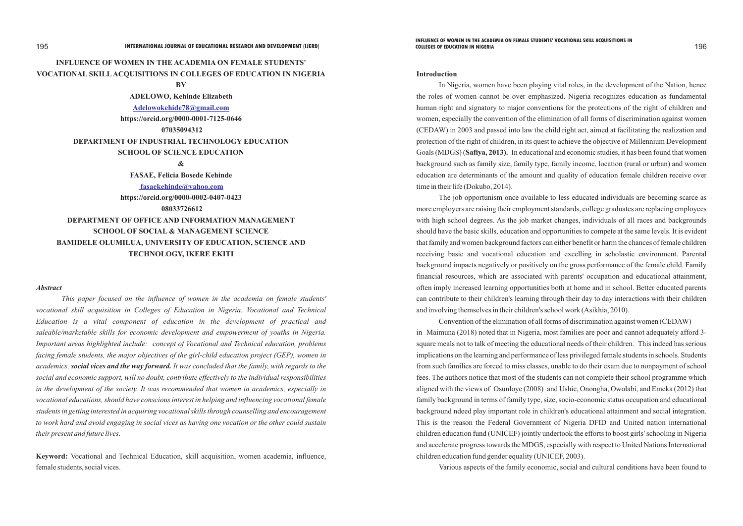# **INFLUENCE OF WOMEN IN THE ACADEMIA ON FEMALE STUDENTS' VOCATIONAL SKILLACQUISITIONS IN COLLEGES OF EDUCATION IN NIGERIA**

# **BY**

**ADELOWO, Kehinde Elizabeth**

**https://orcid.org/0000-0001-7125-0646** 

 **07035094312**

# **DEPARTMENT OF INDUSTRIAL TECHNOLOGY EDUCATION**

### **SCHOOL OF SCIENCE EDUCATION**

**&**

### *Abstract*

**FASAE, Felicia Bosede Kehinde https://orcid.org/0000-0002-0407-0423 08033726612 DEPARTMENT OF OFFICE AND INFORMATION MANAGEMENT SCHOOL OF SOCIAL & MANAGEMENT SCIENCE BAMIDELE OLUMILUA, UNIVERSITY OF EDUCATION, SCIENCE AND TECHNOLOGY, IKERE EKITI  [fasaekehinde@yahoo.com](mailto:)**

*This paper focused on the influence of women in the academia on female students' vocational skill acquisition in Colleges of Education in Nigeria. Vocational and Technical Education is a vital component of education in the development of practical and saleable/marketable skills for economic development and empowerment of youths in Nigeria. Important areas highlighted include: concept of Vocational and Technical education, problems facing female students, the major objectives of the girl-child education project (GEP), women in academics, social vices and the way forward. It was concluded that the family, with regards to the social and economic support, will no doubt, contribute effectively to the individual responsibilities in the development of the society. It was recommended that women in academics, especially in vocational educations, should have conscious interest in helping and influencing vocational female students in getting interested in acquiring vocational skills through counselling and encouragement to work hard and avoid engaging in social vices as having one vocation or the other could sustain their present and future lives.* 

**Keyword:** Vocational and Technical Education, skill acquisition, women academia, influence, female students, social vices.

**[Adelowokehide78@gmail.com](mailto:Adelowokehide78@gmail.com)**

### **Introduction**

In Nigeria, women have been playing vital roles, in the development of the Nation, hence the roles of women cannot be over emphasized. Nigeria recognizes education as fundamental human right and signatory to major conventions for the protections of the right of children and women, especially the convention of the elimination of all forms of discrimination against women (CEDAW) in 2003 and passed into law the child right act, aimed at facilitating the realization and protection of the right of children, in its quest to achieve the objective of Millennium Development Goals (MDGS) (**Safiya, 2013).** In educational and economic studies, it has been found that women background such as family size, family type, family income, location (rural or urban) and women education are determinants of the amount and quality of education female children receive over time in their life (Dokubo, 2014).

The job opportunism once available to less educated individuals are becoming scarce as more employers are raising their employment standards, college graduates are replacing employees with high school degrees. As the job market changes, individuals of all races and backgrounds should have the basic skills, education and opportunities to compete at the same levels. It is evident that family and women background factors can either benefit or harm the chances of female children receiving basic and vocational education and excelling in scholastic environment. Parental background impacts negatively or positively on the gross performance of the female child. Family financial resources, which are associated with parents' occupation and educational attainment, often imply increased learning opportunities both at home and in school. Better educated parents can contribute to their children's learning through their day to day interactions with their children and involving themselves in their children's school work (Asikhia, 2010).

Convention of the elimination of all forms of discrimination against women (CEDAW) in Maimuna (2018) noted that in Nigeria, most families are poor and cannot adequately afford 3 square meals not to talk of meeting the educational needs of their children. This indeed has serious implications on the learning and performance of less privileged female students in schools. Students from such families are forced to miss classes, unable to do their exam due to nonpayment of school fees. The authors notice that most of the students can not complete their school programme which aligned with the views of Osunloye (2008) and Ushie, Onongha, Owolabi, and Emeka (2012) that family background in terms of family type, size, socio-economic status occupation and educational background ndeed play important role in children's educational attainment and social integration. This is the reason the Federal Government of Nigeria DFID and United nation international children education fund (UNICEF) jointly undertook the efforts to boost girls' schooling in Nigeria and accelerate progress towards the MDGS, especially with respect to United Nations International children education fund gender equality (UNICEF, 2003).

Various aspects of the family economic, social and cultural conditions have been found to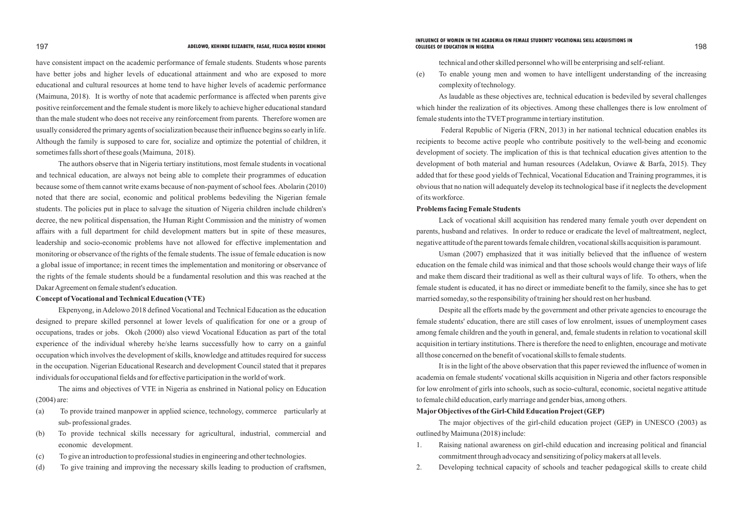have consistent impact on the academic performance of female students. Students whose parents have better jobs and higher levels of educational attainment and who are exposed to more educational and cultural resources at home tend to have higher levels of academic performance (Maimuna, 2018). It is worthy of note that academic performance is affected when parents give positive reinforcement and the female student is more likely to achieve higher educational standard than the male student who does not receive any reinforcement from parents. Therefore women are usually considered the primary agents of socialization because their influence begins so early in life. Although the family is supposed to care for, socialize and optimize the potential of children, it sometimes falls short of these goals (Maimuna, 2018).

The authors observe that in Nigeria tertiary institutions, most female students in vocational and technical education, are always not being able to complete their programmes of education because some of them cannot write exams because of non-payment of school fees. Abolarin (2010) noted that there are social, economic and political problems bedeviling the Nigerian female students. The policies put in place to salvage the situation of Nigeria children include children's decree, the new political dispensation, the Human Right Commission and the ministry of women affairs with a full department for child development matters but in spite of these measures, leadership and socio-economic problems have not allowed for effective implementation and monitoring or observance of the rights of the female students. The issue of female education is now a global issue of importance; in recent times the implementation and monitoring or observance of the rights of the female students should be a fundamental resolution and this was reached at the Dakar Agreement on female student's education.

As laudable as these objectives are, technical education is bedeviled by several challenges which hinder the realization of its objectives. Among these challenges there is low enrolment of female students into the TVET programme in tertiary institution.

# **Concept of Vocational and Technical Education (VTE)**

Ekpenyong, in Adelowo 2018 defined Vocational and Technical Education as the education designed to prepare skilled personnel at lower levels of qualification for one or a group of occupations, trades or jobs. Okoh (2000) also viewd Vocational Education as part of the total experience of the individual whereby he/she learns successfully how to carry on a gainful occupation which involves the development of skills, knowledge and attitudes required for success in the occupation. Nigerian Educational Research and development Council stated that it prepares individuals for occupational fields and for effective participation in the world of work.

The aims and objectives of VTE in Nigeria as enshrined in National policy on Education (2004) are:

- (a) To provide trained manpower in applied science, technology, commerce particularly at sub- professional grades.
- (b) To provide technical skills necessary for agricultural, industrial, commercial and economic development.
- (c) To give an introduction to professional studies in engineering and other technologies.
- (d) To give training and improving the necessary skills leading to production of craftsmen,

technical and other skilled personnel who will be enterprising and self-reliant. (e) To enable young men and women to have intelligent understanding of the increasing

complexity of technology.

Federal Republic of Nigeria (FRN, 2013) in her national technical education enables its recipients to become active people who contribute positively to the well-being and economic development of society. The implication of this is that technical education gives attention to the development of both material and human resources (Adelakun, Oviawe & Barfa, 2015). They added that for these good yields of Technical, Vocational Education and Training programmes, it is obvious that no nation will adequately develop its technological base if it neglects the development of its workforce.

## **Problems facing Female Students**

Lack of vocational skill acquisition has rendered many female youth over dependent on parents, husband and relatives. In order to reduce or eradicate the level of maltreatment, neglect, negative attitude of the parent towards female children, vocational skills acquisition is paramount.

Usman (2007) emphasized that it was initially believed that the influence of western education on the female child was inimical and that those schools would change their ways of life and make them discard their traditional as well as their cultural ways of life. To others, when the female student is educated, it has no direct or immediate benefit to the family, since she has to get married someday, so the responsibility of training her should rest on her husband.

Despite all the efforts made by the government and other private agencies to encourage the female students' education, there are still cases of low enrolment, issues of unemployment cases among female children and the youth in general, and, female students in relation to vocational skill acquisition in tertiary institutions. There is therefore the need to enlighten, encourage and motivate all those concerned on the benefit of vocational skills to female students.

It is in the light of the above observation that this paper reviewed the influence of women in academia on female students' vocational skills acquisition in Nigeria and other factors responsible for low enrolment of girls into schools, such as socio-cultural, economic, societal negative attitude to female child education, early marriage and gender bias, among others. **MajorObjectives of the Girl-Child Education Project (GEP)**

The major objectives of the girl-child education project (GEP) in UNESCO (2003) as outlined by Maimuna (2018) include:

- 1. Raising national awareness on girl-child education and increasing political and financial commitment through advocacy and sensitizing of policy makers at all levels.
- 

2. Developing technical capacity of schools and teacher pedagogical skills to create child

### 197 198 **ADELOWO, KEHINDE ELIZABETH, FASAE, FELICIA BOSEDE KEHINDE COLLEGES OF EDUCATION IN NIGERIAINFLUENCE OF WOMEN IN THE ACADEMIA ON FEMALE STUDENTS' VOCATIONAL SKILL ACQUISITIONS IN**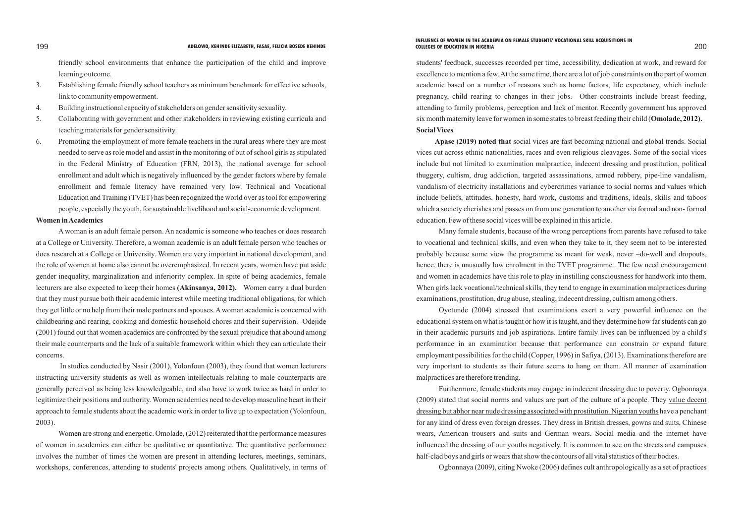friendly school environments that enhance the participation of the child and improve learning outcome.

- 3. Establishing female friendly school teachers as minimum benchmark for effective schools, link to community empowerment.
- 4. Building instructional capacity of stakeholders on gender sensitivity sexuality.
- 5. Collaborating with government and other stakeholders in reviewing existing curricula and teaching materials for gender sensitivity.
- 6. Promoting the employment of more female teachers in the rural areas where they are most needed to serve as role model and assist in the monitoring of out of school girls as stipulated in the Federal Ministry of Education (FRN, 2013), the national average for school enrollment and adult which is negatively influenced by the gender factors where by female enrollment and female literacy have remained very low. Technical and Vocational Education and Training (TVET) has been recognized the world over as tool for empowering people, especially the youth, for sustainable livelihood and social-economic development.

# **Women in Academics**

A woman is an adult female person. An academic is someone who teaches or does research at a College or University. Therefore, a woman academic is an adult female person who teaches or does research at a College or University. Women are very important in national development, and the role of women at home also cannot be overemphasized. In recent years, women have put aside gender inequality, marginalization and inferiority complex. In spite of being academics, female lecturers are also expected to keep their homes **(Akinsanya, 2012).** Women carry a dual burden that they must pursue both their academic interest while meeting traditional obligations, for which they get little or no help from their male partners and spouses. Awoman academic is concerned with childbearing and rearing, cooking and domestic household chores and their supervision. Odejide (2001) found out that women academics are confronted by the sexual prejudice that abound among their male counterparts and the lack of a suitable framework within which they can articulate their concerns.

In studies conducted by Nasir (2001), Yolonfoun (2003), they found that women lecturers instructing university students as well as women intellectuals relating to male counterparts are generally perceived as being less knowledgeable, and also have to work twice as hard in order to legitimize their positions and authority. Women academics need to develop masculine heart in their approach to female students about the academic work in order to live up to expectation (Yolonfoun, 2003).

Women are strong and energetic. Omolade, (2012) reiterated that the performance measures of women in academics can either be qualitative or quantitative. The quantitative performance involves the number of times the women are present in attending lectures, meetings, seminars, workshops, conferences, attending to students' projects among others. Qualitatively, in terms of students' feedback, successes recorded per time, accessibility, dedication at work, and reward for excellence to mention a few. At the same time, there are a lot of job constraints on the part of women academic based on a number of reasons such as home factors, life expectancy, which include pregnancy, child rearing to changes in their jobs. Other constraints include breast feeding, attending to family problems, perception and lack of mentor. Recently government has approved six month maternity leave for women in some states to breast feeding their child (**Omolade, 2012). Social Vices**

**Apase (2019) noted that** social vices are fast becoming national and global trends. Social vices cut across ethnic nationalities, races and even religious cleavages. Some of the social vices include but not limited to examination malpractice, indecent dressing and prostitution, political thuggery, cultism, drug addiction, targeted assassinations, armed robbery, pipe-line vandalism, vandalism of electricity installations and cybercrimes variance to social norms and values which include beliefs, attitudes, honesty, hard work, customs and traditions, ideals, skills and taboos which a society cherishes and passes on from one generation to another via formal and non- formal education. Few of these social vices will be explained in this article.

Many female students, because of the wrong perceptions from parents have refused to take to vocational and technical skills, and even when they take to it, they seem not to be interested probably because some view the programme as meant for weak, never –do-well and dropouts, hence, there is unusually low enrolment in the TVET programme . The few need encouragement and women in academics have this role to play in instilling consciousness for handwork into them. When girls lack vocational/technical skills, they tend to engage in examination malpractices during examinations, prostitution, drug abuse, stealing, indecent dressing, cultism among others.

Oyetunde (2004) stressed that examinations exert a very powerful influence on the educational system on what is taught or how it is taught, and they determine how far students can go in their academic pursuits and job aspirations. Entire family lives can be influenced by a child's performance in an examination because that performance can constrain or expand future employment possibilities for the child (Copper, 1996) in Safiya, (2013). Examinations therefore are very important to students as their future seems to hang on them. All manner of examination malpractices are therefore trending.

Furthermore, female students may engage in indecent dressing due to poverty. Ogbonnaya (2009) stated that social norms and values are part of the culture of a people. They value decent dressing but abhor near nude dressing associated with prostitution. Nigerian youths have a penchant for any kind of dress even foreign dresses. They dress in British dresses, gowns and suits, Chinese wears, American trousers and suits and German wears. Social media and the internet have influenced the dressing of our youths negatively. It is common to see on the streets and campuses half-clad boys and girls or wears that show the contours of all vital statistics of their bodies.

Ogbonnaya (2009), citing Nwoke (2006) defines cult anthropologically as a set of practices

### 199 200 **ADELOWO, KEHINDE ELIZABETH, FASAE, FELICIA BOSEDE KEHINDE COLLEGES OF EDUCATION IN NIGERIAINFLUENCE OF WOMEN IN THE ACADEMIA ON FEMALE STUDENTS' VOCATIONAL SKILL ACQUISITIONS IN**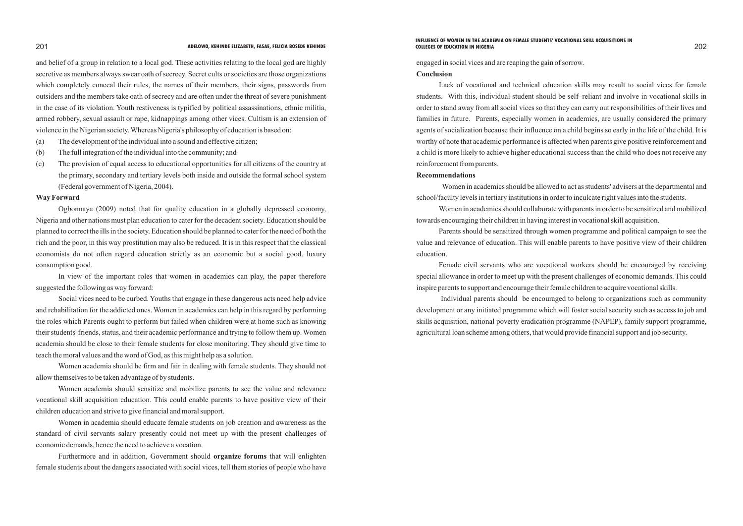and belief of a group in relation to a local god. These activities relating to the local god are highly secretive as members always swear oath of secrecy. Secret cults or societies are those organizations which completely conceal their rules, the names of their members, their signs, passwords from outsiders and the members take oath of secrecy and are often under the threat of severe punishment in the case of its violation. Youth restiveness is typified by political assassinations, ethnic militia, armed robbery, sexual assault or rape, kidnappings among other vices. Cultism is an extension of violence in the Nigerian society. Whereas Nigeria's philosophy of education is based on:

- (a) The development of the individual into a sound and effective citizen;
- (b) The full integration of the individual into the community; and
- (c) The provision of equal access to educational opportunities for all citizens of the country at the primary, secondary and tertiary levels both inside and outside the formal school system (Federal government of Nigeria, 2004).

### **Way Forward**

Ogbonnaya (2009) noted that for quality education in a globally depressed economy, Nigeria and other nations must plan education to cater for the decadent society. Education should be planned to correct the ills in the society. Education should be planned to cater for the need of both the rich and the poor, in this way prostitution may also be reduced. It is in this respect that the classical economists do not often regard education strictly as an economic but a social good, luxury consumption good.

In view of the important roles that women in academics can play, the paper therefore suggested the following as way forward:

Social vices need to be curbed. Youths that engage in these dangerous acts need help advice and rehabilitation for the addicted ones. Women in academics can help in this regard by performing the roles which Parents ought to perform but failed when children were at home such as knowing their students' friends, status, and their academic performance and trying to follow them up. Women academia should be close to their female students for close monitoring. They should give time to teach the moral values and the word of God, as this might help as a solution.

Women academia should be firm and fair in dealing with female students. They should not allow themselves to be taken advantage of by students.

Women academia should sensitize and mobilize parents to see the value and relevance vocational skill acquisition education. This could enable parents to have positive view of their children education and strive to give financial and moral support.

Women in academia should educate female students on job creation and awareness as the standard of civil servants salary presently could not meet up with the present challenges of economic demands, hence the need to achieve a vocation.

Furthermore and in addition, Government should **organize forums** that will enlighten female students about the dangers associated with social vices, tell them stories of people who have engaged in social vices and are reaping the gain of sorrow. **Conclusion**

Lack of vocational and technical education skills may result to social vices for female students. With this, individual student should be self–reliant and involve in vocational skills in order to stand away from all social vices so that they can carry out responsibilities of their lives and families in future. Parents, especially women in academics, are usually considered the primary agents of socialization because their influence on a child begins so early in the life of the child. It is worthy of note that academic performance is affected when parents give positive reinforcement and a child is more likely to achieve higher educational success than the child who does not receive any reinforcement from parents.

# **Recommendations**

school/faculty levels in tertiary institutions in order to inculcate right values into the students.

- Women in academics should be allowed to act as students' advisers at the departmental and
- Women in academics should collaborate with parents in order to be sensitized and mobilized
- Parents should be sensitized through women programme and political campaign to see the

towards encouraging their children in having interest in vocational skill acquisition.

value and relevance of education. This will enable parents to have positive view of their children education.

Female civil servants who are vocational workers should be encouraged by receiving special allowance in order to meet up with the present challenges of economic demands. This could inspire parents to support and encourage their female children to acquire vocational skills.

Individual parents should be encouraged to belong to organizations such as community development or any initiated programme which will foster social security such as access to job and skills acquisition, national poverty eradication programme (NAPEP), family support programme, agricultural loan scheme among others, that would provide financial support and job security.

### 201 202 **ADELOWO, KEHINDE ELIZABETH, FASAE, FELICIA BOSEDE KEHINDE COLLEGES OF EDUCATION IN NIGERIAINFLUENCE OF WOMEN IN THE ACADEMIA ON FEMALE STUDENTS' VOCATIONAL SKILL ACQUISITIONS IN**